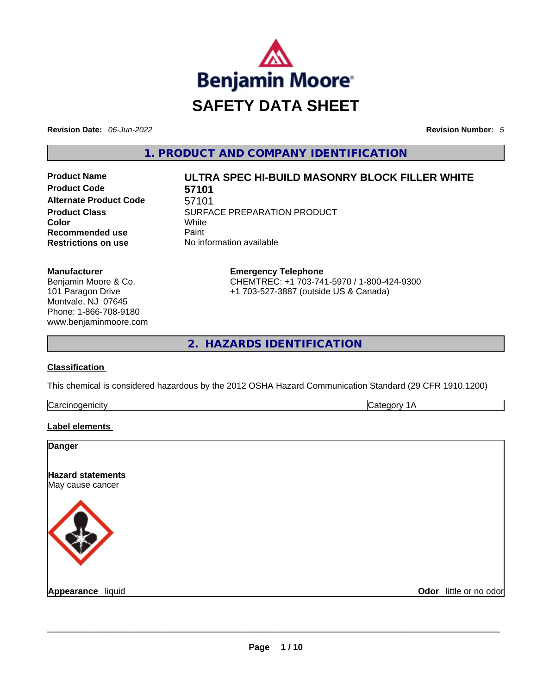

**Revision Date:** *06-Jun-2022* **Revision Number:** *5*

**1. PRODUCT AND COMPANY IDENTIFICATION** 

**Product Code 57101 Alternate Product Code** 57101 **Color** White **Recommended use Paint Restrictions on use** No information available

# **Product Name ULTRA SPEC HI-BUILD MASONRY BLOCK FILLER WHITE**

**Product Class SURFACE PREPARATION PRODUCT** 

**Manufacturer** Benjamin Moore & Co. 101 Paragon Drive Montvale, NJ 07645 Phone: 1-866-708-9180

www.benjaminmoore.com

**Emergency Telephone** CHEMTREC: +1 703-741-5970 / 1-800-424-9300 +1 703-527-3887 (outside US & Canada)

**2. HAZARDS IDENTIFICATION** 

# **Classification**

This chemical is considered hazardous by the 2012 OSHA Hazard Communication Standard (29 CFR 1910.1200)

|  | $\sim$<br>ה יו |  |
|--|----------------|--|
|--|----------------|--|

# **Label elements**

| Danger                   |                        |
|--------------------------|------------------------|
| <b>Hazard statements</b> |                        |
| May cause cancer         |                        |
|                          |                        |
|                          |                        |
|                          |                        |
|                          |                        |
| Appearance liquid        |                        |
|                          | Odor little or no odor |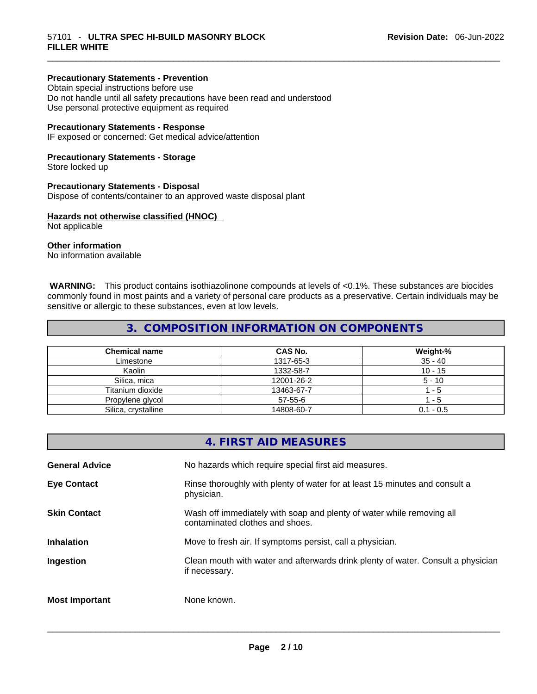# **Precautionary Statements - Prevention**

Obtain special instructions before use Do not handle until all safety precautions have been read and understood Use personal protective equipment as required

## **Precautionary Statements - Response**

IF exposed or concerned: Get medical advice/attention

# **Precautionary Statements - Storage**

Store locked up

#### **Precautionary Statements - Disposal**

Dispose of contents/container to an approved waste disposal plant

# **Hazards not otherwise classified (HNOC)**

Not applicable

# **Other information**

No information available

 **WARNING:** This product contains isothiazolinone compounds at levels of <0.1%. These substances are biocides commonly found in most paints and a variety of personal care products as a preservative. Certain individuals may be sensitive or allergic to these substances, even at low levels.

# **3. COMPOSITION INFORMATION ON COMPONENTS**

| <b>Chemical name</b> | <b>CAS No.</b> | Weight-%    |
|----------------------|----------------|-------------|
| Limestone            | 1317-65-3      | $35 - 40$   |
| Kaolin               | 1332-58-7      | $10 - 15$   |
| Silica, mica         | 12001-26-2     | $5 - 10$    |
| Titanium dioxide     | 13463-67-7     | $-5$        |
| Propylene glycol     | $57-55-6$      | - 5         |
| Silica, crystalline  | 14808-60-7     | $0.1 - 0.5$ |

|                       | 4. FIRST AID MEASURES                                                                                    |
|-----------------------|----------------------------------------------------------------------------------------------------------|
| <b>General Advice</b> | No hazards which require special first aid measures.                                                     |
| <b>Eye Contact</b>    | Rinse thoroughly with plenty of water for at least 15 minutes and consult a<br>physician.                |
| <b>Skin Contact</b>   | Wash off immediately with soap and plenty of water while removing all<br>contaminated clothes and shoes. |
| <b>Inhalation</b>     | Move to fresh air. If symptoms persist, call a physician.                                                |
| Ingestion             | Clean mouth with water and afterwards drink plenty of water. Consult a physician<br>if necessary.        |
| <b>Most Important</b> | None known.                                                                                              |
|                       |                                                                                                          |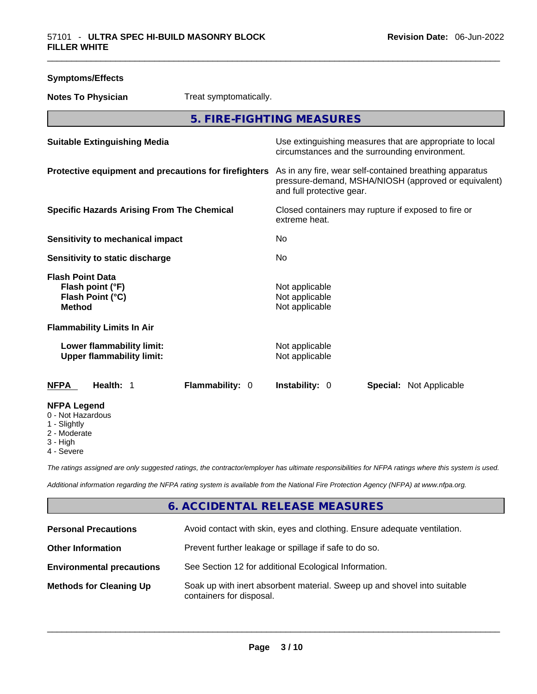| <b>Symptoms/Effects</b>                                                           |                                                                                                                                              |
|-----------------------------------------------------------------------------------|----------------------------------------------------------------------------------------------------------------------------------------------|
| Treat symptomatically.<br><b>Notes To Physician</b>                               |                                                                                                                                              |
|                                                                                   | 5. FIRE-FIGHTING MEASURES                                                                                                                    |
| <b>Suitable Extinguishing Media</b>                                               | Use extinguishing measures that are appropriate to local<br>circumstances and the surrounding environment.                                   |
| Protective equipment and precautions for firefighters                             | As in any fire, wear self-contained breathing apparatus<br>pressure-demand, MSHA/NIOSH (approved or equivalent)<br>and full protective gear. |
| <b>Specific Hazards Arising From The Chemical</b>                                 | Closed containers may rupture if exposed to fire or<br>extreme heat.                                                                         |
| <b>Sensitivity to mechanical impact</b>                                           | No                                                                                                                                           |
| Sensitivity to static discharge                                                   | No                                                                                                                                           |
| <b>Flash Point Data</b><br>Flash point (°F)<br>Flash Point (°C)<br><b>Method</b>  | Not applicable<br>Not applicable<br>Not applicable                                                                                           |
| <b>Flammability Limits In Air</b>                                                 |                                                                                                                                              |
| Lower flammability limit:<br><b>Upper flammability limit:</b>                     | Not applicable<br>Not applicable                                                                                                             |
| Flammability: 0<br>Health: 1<br>NFPA                                              | <b>Instability: 0</b><br><b>Special: Not Applicable</b>                                                                                      |
| <b>NFPA Legend</b><br>0 - Not Hazardous<br>1 - Slightly<br>2 - Moderate<br>? ⊔iah |                                                                                                                                              |

- 3 High
- 4 Severe

*The ratings assigned are only suggested ratings, the contractor/employer has ultimate responsibilities for NFPA ratings where this system is used.* 

*Additional information regarding the NFPA rating system is available from the National Fire Protection Agency (NFPA) at www.nfpa.org.* 

# **6. ACCIDENTAL RELEASE MEASURES**

| <b>Personal Precautions</b>      | Avoid contact with skin, eyes and clothing. Ensure adequate ventilation.                             |
|----------------------------------|------------------------------------------------------------------------------------------------------|
| <b>Other Information</b>         | Prevent further leakage or spillage if safe to do so.                                                |
| <b>Environmental precautions</b> | See Section 12 for additional Ecological Information.                                                |
| <b>Methods for Cleaning Up</b>   | Soak up with inert absorbent material. Sweep up and shovel into suitable<br>containers for disposal. |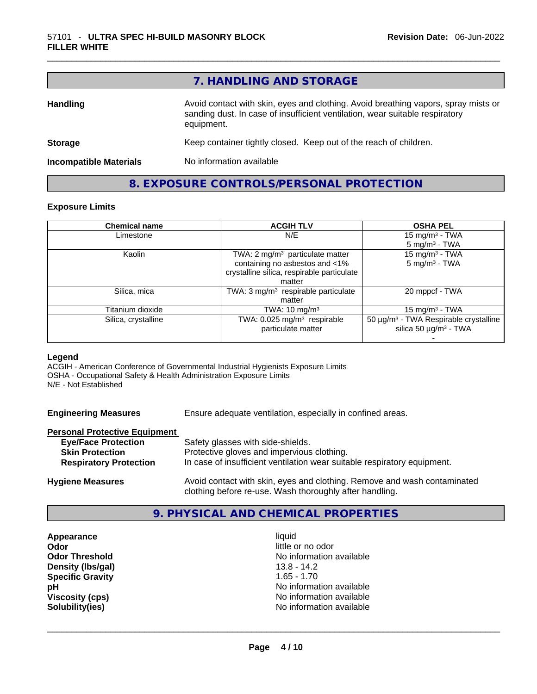|                               | 7. HANDLING AND STORAGE                                                                                                                                                          |
|-------------------------------|----------------------------------------------------------------------------------------------------------------------------------------------------------------------------------|
| <b>Handling</b>               | Avoid contact with skin, eyes and clothing. Avoid breathing vapors, spray mists or<br>sanding dust. In case of insufficient ventilation, wear suitable respiratory<br>equipment. |
| <b>Storage</b>                | Keep container tightly closed. Keep out of the reach of children.                                                                                                                |
| <b>Incompatible Materials</b> | No information available                                                                                                                                                         |

# **8. EXPOSURE CONTROLS/PERSONAL PROTECTION**

# **Exposure Limits**

| <b>Chemical name</b> | <b>ACGIH TLV</b>                               | <b>OSHA PEL</b>                                   |
|----------------------|------------------------------------------------|---------------------------------------------------|
| Limestone            | N/E                                            | 15 mg/m <sup>3</sup> - TWA                        |
|                      |                                                | $5 \text{ mg/m}^3$ - TWA                          |
| Kaolin               | TWA: 2 mg/m <sup>3</sup> particulate matter    | 15 mg/m $3$ - TWA                                 |
|                      | containing no asbestos and <1%                 | $5 \text{ mg/m}^3$ - TWA                          |
|                      | crystalline silica, respirable particulate     |                                                   |
|                      | matter                                         |                                                   |
| Silica, mica         | TWA: $3 \text{ mg/m}^3$ respirable particulate | 20 mppcf - TWA                                    |
|                      | matter                                         |                                                   |
| Titanium dioxide     | TWA: $10 \text{ mg/m}^3$                       | 15 mg/m $3$ - TWA                                 |
| Silica, crystalline  | TWA: $0.025$ mg/m <sup>3</sup> respirable      | 50 µg/m <sup>3</sup> - TWA Respirable crystalline |
|                      | particulate matter                             | silica 50 $\mu$ g/m <sup>3</sup> - TWA            |
|                      |                                                |                                                   |

# **Legend**

ACGIH - American Conference of Governmental Industrial Hygienists Exposure Limits OSHA - Occupational Safety & Health Administration Exposure Limits N/E - Not Established

**Engineering Measures** Ensure adequate ventilation, especially in confined areas.

# **Personal Protective Equipment**

| <b>Eye/Face Protection</b>    | Safety glasses with side-shields.                                        |
|-------------------------------|--------------------------------------------------------------------------|
| <b>Skin Protection</b>        | Protective gloves and impervious clothing.                               |
| <b>Respiratory Protection</b> | In case of insufficient ventilation wear suitable respiratory equipment. |
|                               |                                                                          |

**Hygiene Measures** Avoid contact with skin, eyes and clothing. Remove and wash contaminated clothing before re-use. Wash thoroughly after handling.

# **9. PHYSICAL AND CHEMICAL PROPERTIES**

**Appearance** liquid **Odor Odor Odor Odor Odor Odor** *little or no odor little or no odor little or no odor* **Density (lbs/gal)** 13.8 - 14.2 **Specific Gravity** 1.65 - 1.70

**Odor Threshold** No information available **pH**<br>
Viscosity (cps) **phenomenal contract of the US** No information available<br>
No information available **Viscosity (cps)** <br> **Viscosity (cps)** <br> **Solubility(ies)** <br> **Solubility(ies)** <br> **No** information available **Solubility(ies)** No information available \_\_\_\_\_\_\_\_\_\_\_\_\_\_\_\_\_\_\_\_\_\_\_\_\_\_\_\_\_\_\_\_\_\_\_\_\_\_\_\_\_\_\_\_\_\_\_\_\_\_\_\_\_\_\_\_\_\_\_\_\_\_\_\_\_\_\_\_\_\_\_\_\_\_\_\_\_\_\_\_\_\_\_\_\_\_\_\_\_\_\_\_\_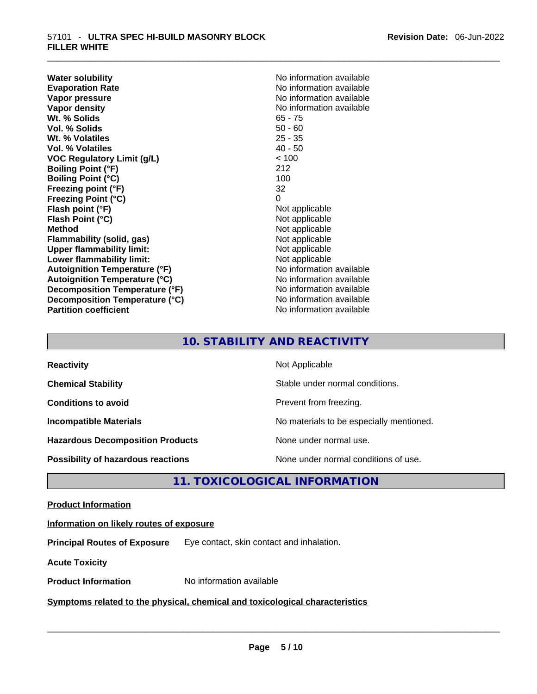**Water solubility Water solubility No information available Evaporation Rate Note 2008 No information available Note 2008 No information available Vapor pressure**  No information available **Vapor pressure No information available Vapor density No information available No information available Wt. % Solids** 65 - 75 **Vol. % Solids** 50 - 60 Wt. % Volatiles **Vol. % Volatiles** 40 - 50 **VOC Regulatory Limit (g/L)** < 100 **Boiling Point (°F)** 212 **Boiling Point (°C)** 100<br> **Preezing point (°F)** 32 **Freezing point (°F) Freezing Point (°C)** 0 **Flash point (°F)**<br> **Flash Point (°C)**<br> **Flash Point (°C)**<br> **C Flash Point (°C) Method Not applicable Not applicable Flammability (solid, gas)** Not applicable<br>
Upper flammability limit:<br>
Not applicable<br>
Not applicable **Upper flammability limit: Lower flammability limit:**<br> **Autoianition Temperature (°F)** Not applicable Not applicable not a Not applicable **Autoignition Temperature (°F)**<br> **Autoignition Temperature (°C)** No information available **Autoignition Temperature (°C) Decomposition Temperature (°F)** No information available **Decomposition Temperature (°C)**<br> **Partition coefficient**<br> **Partition coefficient**<br> **No** information available

**No information available** 

# **10. STABILITY AND REACTIVITY**

| <b>Reactivity</b>                         | Not Applicable                           |
|-------------------------------------------|------------------------------------------|
| <b>Chemical Stability</b>                 | Stable under normal conditions.          |
| <b>Conditions to avoid</b>                | Prevent from freezing.                   |
| <b>Incompatible Materials</b>             | No materials to be especially mentioned. |
| <b>Hazardous Decomposition Products</b>   | None under normal use.                   |
| <b>Possibility of hazardous reactions</b> | None under normal conditions of use.     |

# **11. TOXICOLOGICAL INFORMATION**

# **Product Information**

# **Information on likely routes of exposure**

**Principal Routes of Exposure** Eye contact, skin contact and inhalation.

**Acute Toxicity** 

# **Product Information** No information available \_\_\_\_\_\_\_\_\_\_\_\_\_\_\_\_\_\_\_\_\_\_\_\_\_\_\_\_\_\_\_\_\_\_\_\_\_\_\_\_\_\_\_\_\_\_\_\_\_\_\_\_\_\_\_\_\_\_\_\_\_\_\_\_\_\_\_\_\_\_\_\_\_\_\_\_\_\_\_\_\_\_\_\_\_\_\_\_\_\_\_\_\_ **Symptoms related** to the physical, chemical and toxicological characteristics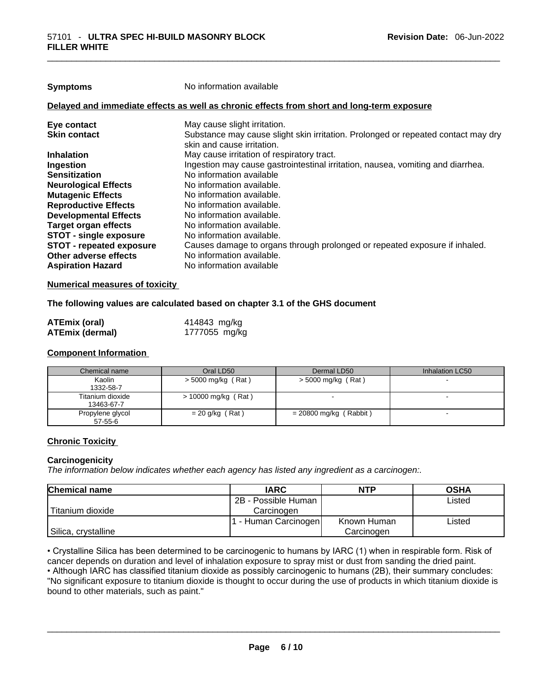| Symptoms |
|----------|
|----------|

**Symptoms** No information available

# **Delayed and immediate effects as well as chronic effects from short and long-term exposure**

| Eye contact                     | May cause slight irritation.                                                      |
|---------------------------------|-----------------------------------------------------------------------------------|
| <b>Skin contact</b>             | Substance may cause slight skin irritation. Prolonged or repeated contact may dry |
|                                 | skin and cause irritation.                                                        |
| <b>Inhalation</b>               | May cause irritation of respiratory tract.                                        |
| Ingestion                       | Ingestion may cause gastrointestinal irritation, nausea, vomiting and diarrhea.   |
| <b>Sensitization</b>            | No information available                                                          |
| <b>Neurological Effects</b>     | No information available.                                                         |
| <b>Mutagenic Effects</b>        | No information available.                                                         |
| <b>Reproductive Effects</b>     | No information available.                                                         |
| <b>Developmental Effects</b>    | No information available.                                                         |
| <b>Target organ effects</b>     | No information available.                                                         |
| <b>STOT - single exposure</b>   | No information available.                                                         |
| <b>STOT - repeated exposure</b> | Causes damage to organs through prolonged or repeated exposure if inhaled.        |
| Other adverse effects           | No information available.                                                         |
| <b>Aspiration Hazard</b>        | No information available                                                          |
|                                 |                                                                                   |

# **Numerical measures of toxicity**

# **The following values are calculated based on chapter 3.1 of the GHS document**

| ATEmix (oral)          | 414843 mg/kg  |
|------------------------|---------------|
| <b>ATEmix (dermal)</b> | 1777055 mg/kg |

# **Component Information**

| Chemical name                     | Oral LD50            | Dermal LD50              | Inhalation LC50 |
|-----------------------------------|----------------------|--------------------------|-----------------|
| Kaolin<br>1332-58-7               | $>$ 5000 mg/kg (Rat) | $>$ 5000 mg/kg (Rat)     |                 |
| Titanium dioxide<br>13463-67-7    | > 10000 mg/kg (Rat)  |                          |                 |
| Propylene glycol<br>$57 - 55 - 6$ | $= 20$ g/kg (Rat)    | $= 20800$ mg/kg (Rabbit) |                 |

# **Chronic Toxicity**

# **Carcinogenicity**

*The information below indicates whether each agency has listed any ingredient as a carcinogen:.* 

| <b>Chemical name</b> | <b>IARC</b>          | <b>NTP</b>  | <b>OSHA</b> |
|----------------------|----------------------|-------------|-------------|
|                      | 2B - Possible Human  |             | Listed      |
| Titanium dioxide     | Carcinogen           |             |             |
|                      | 1 - Human Carcinogen | Known Human | Listed      |
| Silica, crystalline  |                      | Carcinogen  |             |

• Crystalline Silica has been determined to be carcinogenic to humans by IARC (1) when in respirable form. Risk of cancer depends on duration and level of inhalation exposure to spray mist or dust from sanding the dried paint.

• Although IARC has classified titanium dioxide as possibly carcinogenic to humans (2B), their summary concludes: "No significant exposure to titanium dioxide is thought to occur during the use of products in which titanium dioxide is bound to other materials, such as paint." \_\_\_\_\_\_\_\_\_\_\_\_\_\_\_\_\_\_\_\_\_\_\_\_\_\_\_\_\_\_\_\_\_\_\_\_\_\_\_\_\_\_\_\_\_\_\_\_\_\_\_\_\_\_\_\_\_\_\_\_\_\_\_\_\_\_\_\_\_\_\_\_\_\_\_\_\_\_\_\_\_\_\_\_\_\_\_\_\_\_\_\_\_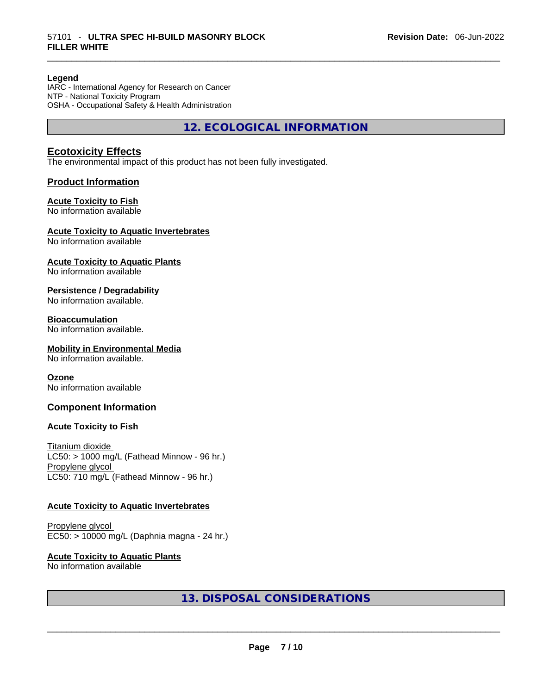# **Legend**

IARC - International Agency for Research on Cancer NTP - National Toxicity Program OSHA - Occupational Safety & Health Administration

**12. ECOLOGICAL INFORMATION** 

# **Ecotoxicity Effects**

The environmental impact of this product has not been fully investigated.

# **Product Information**

# **Acute Toxicity to Fish**

No information available

# **Acute Toxicity to Aquatic Invertebrates**

No information available

# **Acute Toxicity to Aquatic Plants**

No information available

# **Persistence / Degradability**

No information available.

# **Bioaccumulation**

No information available.

# **Mobility in Environmental Media**

No information available.

# **Ozone**

No information available

# **Component Information**

# **Acute Toxicity to Fish**

Titanium dioxide  $LC50:$  > 1000 mg/L (Fathead Minnow - 96 hr.) Propylene glycol LC50: 710 mg/L (Fathead Minnow - 96 hr.)

# **Acute Toxicity to Aquatic Invertebrates**

Propylene glycol EC50: > 10000 mg/L (Daphnia magna - 24 hr.)

# **Acute Toxicity to Aquatic Plants**

# No information available \_\_\_\_\_\_\_\_\_\_\_\_\_\_\_\_\_\_\_\_\_\_\_\_\_\_\_\_\_\_\_\_\_\_\_\_\_\_\_\_\_\_\_\_\_\_\_\_\_\_\_\_\_\_\_\_\_\_\_\_\_\_\_\_\_\_\_\_\_\_\_\_\_\_\_\_\_\_\_\_\_\_\_\_\_\_\_\_\_\_\_\_\_ **13. DISPOSAL CONSIDERATIONS**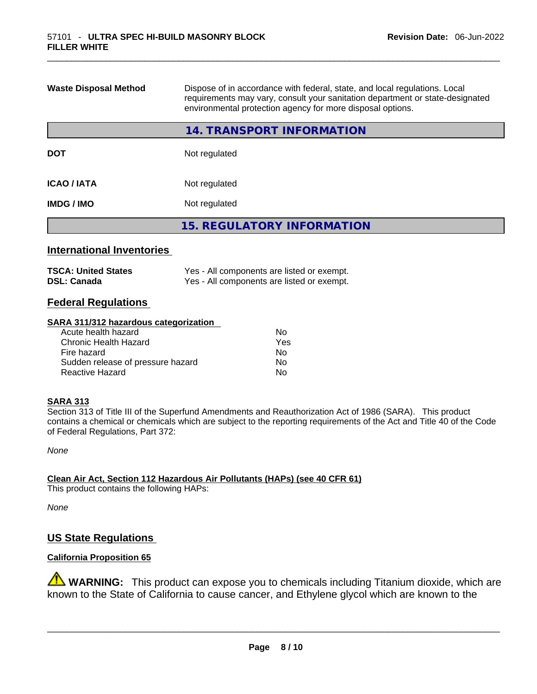| <b>Waste Disposal Method</b> | Dispose of in accordance with federal, state, and local regulations. Local<br>requirements may vary, consult your sanitation department or state-designated<br>environmental protection agency for more disposal options. |  |
|------------------------------|---------------------------------------------------------------------------------------------------------------------------------------------------------------------------------------------------------------------------|--|
|                              | <b>14. TRANSPORT INFORMATION</b>                                                                                                                                                                                          |  |
| <b>DOT</b>                   | Not regulated                                                                                                                                                                                                             |  |
| <b>ICAO / IATA</b>           | Not regulated                                                                                                                                                                                                             |  |
| <b>IMDG/IMO</b>              | Not regulated                                                                                                                                                                                                             |  |
|                              | <b>15. REGULATORY INFORMATION</b>                                                                                                                                                                                         |  |

# **International Inventories**

| <b>TSCA: United States</b> | Yes - All components are listed or exempt. |
|----------------------------|--------------------------------------------|
| <b>DSL: Canada</b>         | Yes - All components are listed or exempt. |

# **Federal Regulations**

#### **SARA 311/312 hazardous categorization**

| Acute health hazard               | No. |  |
|-----------------------------------|-----|--|
| Chronic Health Hazard             | Yes |  |
| Fire hazard                       | No. |  |
| Sudden release of pressure hazard | No. |  |
| Reactive Hazard                   | Nο  |  |

# **SARA 313**

Section 313 of Title III of the Superfund Amendments and Reauthorization Act of 1986 (SARA). This product contains a chemical or chemicals which are subject to the reporting requirements of the Act and Title 40 of the Code of Federal Regulations, Part 372:

*None*

**Clean Air Act,Section 112 Hazardous Air Pollutants (HAPs) (see 40 CFR 61)** This product contains the following HAPs:

*None*

# **US State Regulations**

# **California Proposition 65**

**WARNING:** This product can expose you to chemicals including Titanium dioxide, which are known to the State of California to cause cancer, and Ethylene glycol which are known to the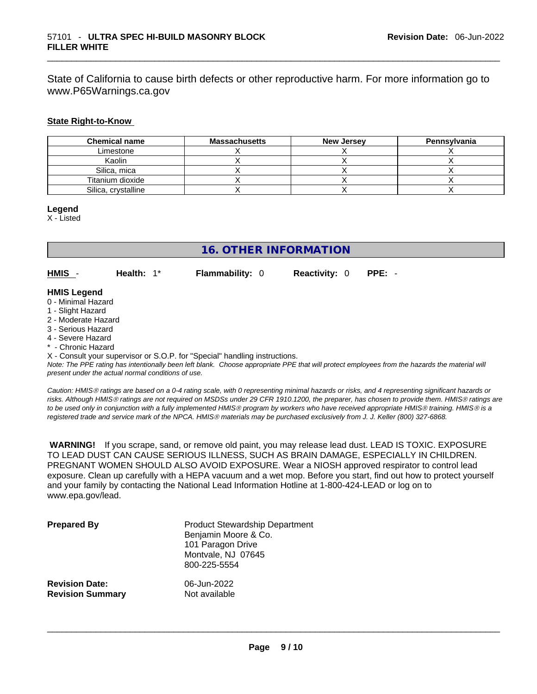State of California to cause birth defects or other reproductive harm. For more information go to www.P65Warnings.ca.gov

# **State Right-to-Know**

| <b>Chemical name</b> | <b>Massachusetts</b> | <b>New Jersey</b> | Pennsylvania |
|----------------------|----------------------|-------------------|--------------|
| Limestone            |                      |                   |              |
| Kaolin               |                      |                   |              |
| Silica, mica         |                      |                   |              |
| Titanium dioxide     |                      |                   |              |
| Silica, crystalline  |                      |                   |              |

**Legend**

X - Listed

# **16. OTHER INFORMATION**

**HMIS** - **Health:** 1\* **Flammability:** 0 **Reactivity:** 0 **PPE:** -

# **HMIS Legend**

- 0 Minimal Hazard
- 1 Slight Hazard
- 2 Moderate Hazard
- 3 Serious Hazard
- 4 Severe Hazard
- \* Chronic Hazard

X - Consult your supervisor or S.O.P. for "Special" handling instructions.

Note: The PPE rating has intentionally been left blank. Choose appropriate PPE that will protect employees from the hazards the material will *present under the actual normal conditions of use.* 

*Caution: HMISÒ ratings are based on a 0-4 rating scale, with 0 representing minimal hazards or risks, and 4 representing significant hazards or risks. Although HMISÒ ratings are not required on MSDSs under 29 CFR 1910.1200, the preparer, has chosen to provide them. HMISÒ ratings are to be used only in conjunction with a fully implemented HMISÒ program by workers who have received appropriate HMISÒ training. HMISÒ is a registered trade and service mark of the NPCA. HMISÒ materials may be purchased exclusively from J. J. Keller (800) 327-6868.* 

 **WARNING!** If you scrape, sand, or remove old paint, you may release lead dust. LEAD IS TOXIC. EXPOSURE TO LEAD DUST CAN CAUSE SERIOUS ILLNESS, SUCH AS BRAIN DAMAGE, ESPECIALLY IN CHILDREN. PREGNANT WOMEN SHOULD ALSO AVOID EXPOSURE.Wear a NIOSH approved respirator to control lead exposure. Clean up carefully with a HEPA vacuum and a wet mop. Before you start, find out how to protect yourself and your family by contacting the National Lead Information Hotline at 1-800-424-LEAD or log on to www.epa.gov/lead.

| <b>Prepared By</b>      | <b>Product Stewardship Department</b><br>Benjamin Moore & Co.<br>101 Paragon Drive<br>Montvale, NJ 07645<br>800-225-5554 |
|-------------------------|--------------------------------------------------------------------------------------------------------------------------|
| <b>Revision Date:</b>   | 06-Jun-2022                                                                                                              |
| <b>Revision Summary</b> | Not available                                                                                                            |